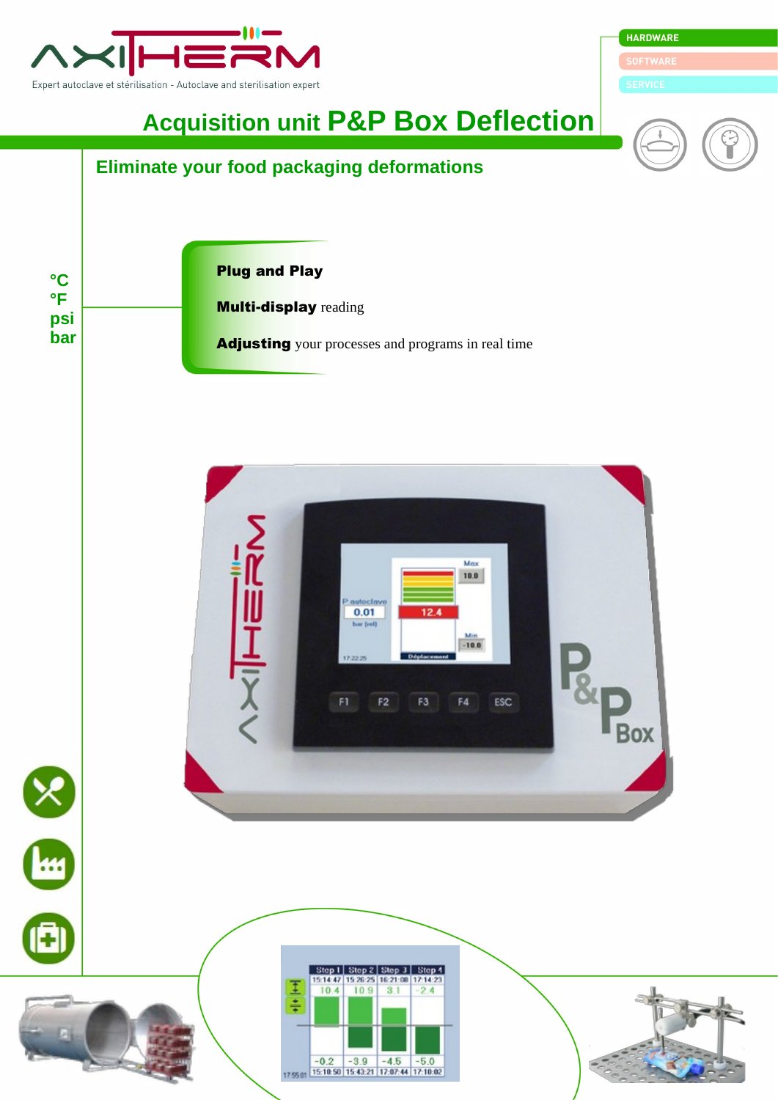

**HARDWARE** 

**Acquisition unit P&P Box Deflection**